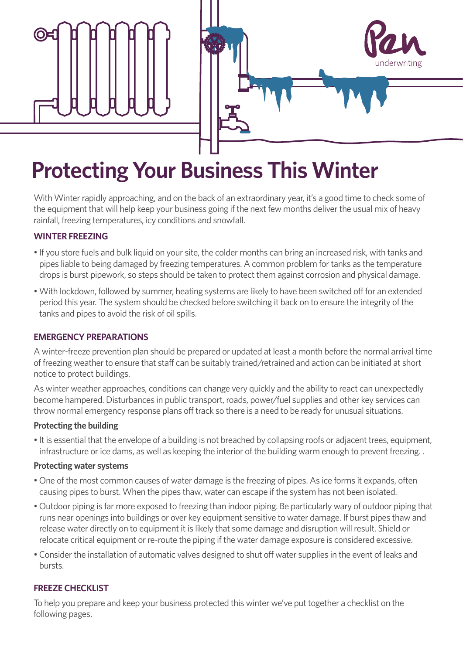



# **Protecting Your Business This Winter**

With Winter rapidly approaching, and on the back of an extraordinary year, it's a good time to check some of the equipment that will help keep your business going if the next few months deliver the usual mix of heavy rainfall, freezing temperatures, icy conditions and snowfall.

### **WINTER FREEZING**

- If you store fuels and bulk liquid on your site, the colder months can bring an increased risk, with tanks and pipes liable to being damaged by freezing temperatures. A common problem for tanks as the temperature drops is burst pipework, so steps should be taken to protect them against corrosion and physical damage.
- With lockdown, followed by summer, heating systems are likely to have been switched off for an extended period this year. The system should be checked before switching it back on to ensure the integrity of the tanks and pipes to avoid the risk of oil spills.

# **EMERGENCY PREPARATIONS**

A winter-freeze prevention plan should be prepared or updated at least a month before the normal arrival time of freezing weather to ensure that staff can be suitably trained/retrained and action can be initiated at short notice to protect buildings.

As winter weather approaches, conditions can change very quickly and the ability to react can unexpectedly become hampered. Disturbances in public transport, roads, power/fuel supplies and other key services can throw normal emergency response plans off track so there is a need to be ready for unusual situations.

### **Protecting the building**

• It is essential that the envelope of a building is not breached by collapsing roofs or adjacent trees, equipment, infrastructure or ice dams, as well as keeping the interior of the building warm enough to prevent freezing. .

### **Protecting water systems**

- One of the most common causes of water damage is the freezing of pipes. As ice forms it expands, often causing pipes to burst. When the pipes thaw, water can escape if the system has not been isolated.
- Outdoor piping is far more exposed to freezing than indoor piping. Be particularly wary of outdoor piping that runs near openings into buildings or over key equipment sensitive to water damage. If burst pipes thaw and release water directly on to equipment it is likely that some damage and disruption will result. Shield or relocate critical equipment or re-route the piping if the water damage exposure is considered excessive.
- Consider the installation of automatic valves designed to shut off water supplies in the event of leaks and bursts.

# **FREEZE CHECKLIST**

To help you prepare and keep your business protected this winter we've put together a checklist on the following pages.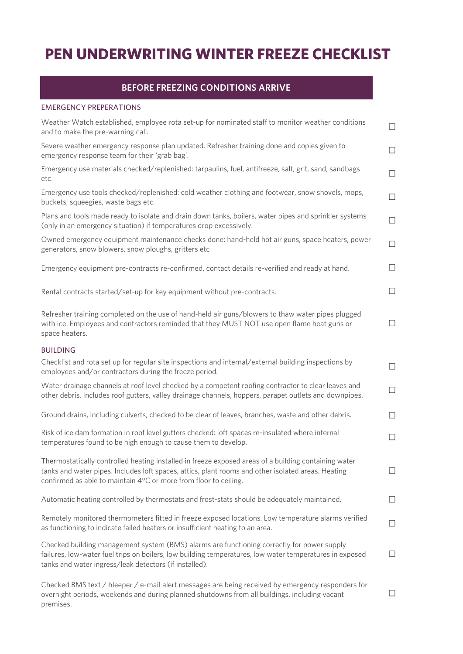# **PEN UNDERWRITING WINTER FREEZE CHECKLIST**

### **BEFORE FREEZING CONDITIONS ARRIVE**

### EMERGENCY PREPERATIONS

| Weather Watch established, employee rota set-up for nominated staff to monitor weather conditions<br>and to make the pre-warning call.                                                                                                                                         | $\Box$ |
|--------------------------------------------------------------------------------------------------------------------------------------------------------------------------------------------------------------------------------------------------------------------------------|--------|
| Severe weather emergency response plan updated. Refresher training done and copies given to<br>emergency response team for their 'grab bag'.                                                                                                                                   | $\Box$ |
| Emergency use materials checked/replenished: tarpaulins, fuel, antifreeze, salt, grit, sand, sandbags<br>etc.                                                                                                                                                                  | $\Box$ |
| Emergency use tools checked/replenished: cold weather clothing and footwear, snow shovels, mops,<br>buckets, squeegies, waste bags etc.                                                                                                                                        | $\Box$ |
| Plans and tools made ready to isolate and drain down tanks, boilers, water pipes and sprinkler systems<br>(only in an emergency situation) if temperatures drop excessively.                                                                                                   | $\Box$ |
| Owned emergency equipment maintenance checks done: hand-held hot air guns, space heaters, power<br>generators, snow blowers, snow ploughs, gritters etc                                                                                                                        | $\Box$ |
| Emergency equipment pre-contracts re-confirmed, contact details re-verified and ready at hand.                                                                                                                                                                                 | $\Box$ |
| Rental contracts started/set-up for key equipment without pre-contracts.                                                                                                                                                                                                       | $\Box$ |
| Refresher training completed on the use of hand-held air guns/blowers to thaw water pipes plugged<br>with ice. Employees and contractors reminded that they MUST NOT use open flame heat guns or<br>space heaters.                                                             | $\Box$ |
| <b>BUILDING</b>                                                                                                                                                                                                                                                                |        |
| Checklist and rota set up for regular site inspections and internal/external building inspections by<br>employees and/or contractors during the freeze period.                                                                                                                 | $\Box$ |
| Water drainage channels at roof level checked by a competent roofing contractor to clear leaves and<br>other debris. Includes roof gutters, valley drainage channels, hoppers, parapet outlets and downpipes.                                                                  | $\Box$ |
| Ground drains, including culverts, checked to be clear of leaves, branches, waste and other debris.                                                                                                                                                                            | $\Box$ |
| Risk of ice dam formation in roof level gutters checked: loft spaces re-insulated where internal<br>temperatures found to be high enough to cause them to develop.                                                                                                             | $\Box$ |
| Thermostatically controlled heating installed in freeze exposed areas of a building containing water<br>tanks and water pipes. Includes loft spaces, attics, plant rooms and other isolated areas. Heating<br>confirmed as able to maintain 4°C or more from floor to ceiling. |        |
| Automatic heating controlled by thermostats and frost-stats should be adequately maintained.                                                                                                                                                                                   | $\Box$ |
| Remotely monitored thermometers fitted in freeze exposed locations. Low temperature alarms verified<br>as functioning to indicate failed heaters or insufficient heating to an area.                                                                                           | $\Box$ |
| Checked building management system (BMS) alarms are functioning correctly for power supply<br>failures, low-water fuel trips on boilers, low building temperatures, low water temperatures in exposed<br>tanks and water ingress/leak detectors (if installed).                | $\Box$ |
| Checked BMS text / bleeper / e-mail alert messages are being received by emergency responders for<br>overnight periods, weekends and during planned shutdowns from all buildings, including vacant                                                                             |        |

premises.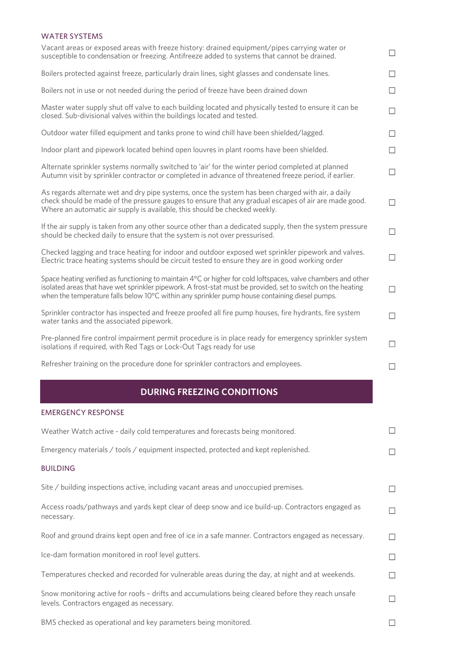### WATER SYSTEMS

| Vacant areas or exposed areas with freeze history: drained equipment/pipes carrying water or<br>susceptible to condensation or freezing. Antifreeze added to systems that cannot be drained.                                                                                                                                    | $\Box$                   |
|---------------------------------------------------------------------------------------------------------------------------------------------------------------------------------------------------------------------------------------------------------------------------------------------------------------------------------|--------------------------|
| Boilers protected against freeze, particularly drain lines, sight glasses and condensate lines.                                                                                                                                                                                                                                 | $\Box$                   |
| Boilers not in use or not needed during the period of freeze have been drained down                                                                                                                                                                                                                                             | $\Box$                   |
| Master water supply shut off valve to each building located and physically tested to ensure it can be<br>closed. Sub-divisional valves within the buildings located and tested.                                                                                                                                                 | $\Box$                   |
| Outdoor water filled equipment and tanks prone to wind chill have been shielded/lagged.                                                                                                                                                                                                                                         | Ш                        |
| Indoor plant and pipework located behind open louvres in plant rooms have been shielded.                                                                                                                                                                                                                                        | $\Box$                   |
| Alternate sprinkler systems normally switched to 'air' for the winter period completed at planned<br>Autumn visit by sprinkler contractor or completed in advance of threatened freeze period, if earlier.                                                                                                                      | $\Box$                   |
| As regards alternate wet and dry pipe systems, once the system has been charged with air, a daily<br>check should be made of the pressure gauges to ensure that any gradual escapes of air are made good.<br>Where an automatic air supply is available, this should be checked weekly.                                         | $\Box$                   |
| If the air supply is taken from any other source other than a dedicated supply, then the system pressure<br>should be checked daily to ensure that the system is not over pressurised.                                                                                                                                          | $\Box$                   |
| Checked lagging and trace heating for indoor and outdoor exposed wet sprinkler pipework and valves.<br>Electric trace heating systems should be circuit tested to ensure they are in good working order                                                                                                                         | $\Box$                   |
| Space heating verified as functioning to maintain 4°C or higher for cold loftspaces, valve chambers and other<br>isolated areas that have wet sprinkler pipework. A frost-stat must be provided, set to switch on the heating<br>when the temperature falls below 10°C within any sprinkler pump house containing diesel pumps. | $\Box$                   |
| Sprinkler contractor has inspected and freeze proofed all fire pump houses, fire hydrants, fire system<br>water tanks and the associated pipework.                                                                                                                                                                              | $\Box$                   |
| Pre-planned fire control impairment permit procedure is in place ready for emergency sprinkler system<br>isolations if required, with Red Tags or Lock-Out Tags ready for use                                                                                                                                                   | $\Box$                   |
| Refresher training on the procedure done for sprinkler contractors and employees.                                                                                                                                                                                                                                               | $\overline{\phantom{a}}$ |
| <b>DURING FREEZING CONDITIONS</b>                                                                                                                                                                                                                                                                                               |                          |
| <b>EMERGENCY RESPONSE</b>                                                                                                                                                                                                                                                                                                       |                          |
| Weather Watch active - daily cold temperatures and forecasts being monitored.                                                                                                                                                                                                                                                   | $\Box$                   |
| Emergency materials / tools / equipment inspected, protected and kept replenished.                                                                                                                                                                                                                                              | $\Box$                   |
| <b>BUILDING</b>                                                                                                                                                                                                                                                                                                                 |                          |
| Site / building inspections active, including vacant areas and unoccupied premises.                                                                                                                                                                                                                                             | $\Box$                   |
| Access roads/pathways and yards kept clear of deep snow and ice build-up. Contractors engaged as<br>necessary.                                                                                                                                                                                                                  | ⊔                        |
| Roof and ground drains kept open and free of ice in a safe manner. Contractors engaged as necessary.                                                                                                                                                                                                                            | $\Box$                   |
| Ice-dam formation monitored in roof level gutters.                                                                                                                                                                                                                                                                              | $\mathbf{L}$             |
| Temperatures checked and recorded for vulnerable areas during the day, at night and at weekends.                                                                                                                                                                                                                                | $\mathbf{L}$             |
| Snow monitoring active for roofs - drifts and accumulations being cleared before they reach unsafe<br>levels. Contractors engaged as necessary.                                                                                                                                                                                 | $\mathbf{L}$             |

 $\hfill \square$ 

BMS checked as operational and key parameters being monitored.